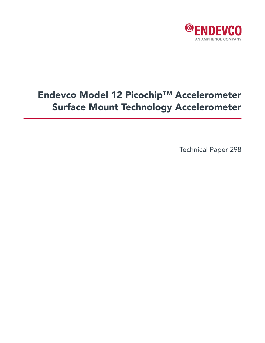

# Endevco Model 12 Picochip™ Accelerometer Surface Mount Technology Accelerometer

Technical Paper 298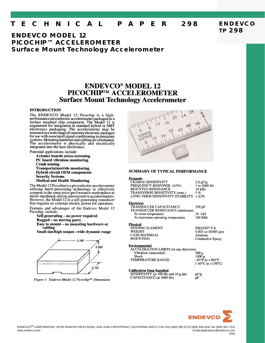#### E C H N I C A L T PAPER 298

## **ENDEVCO MODEL 12 PICOCHIP™ ACCELEROMETER Surface Mount Technology Accelerometer**

## **ENDEVCO<sup>®</sup> MODEL 12** PICOCHIP™ ACCELEROMETER **Surface Mount Technology Accelerometer**

### **INTRODUCTION**

The ENDEVCO Model 12 Picochip is a highperformance piezoelectric accelerometer packaged as a surface mounted chip component. The Model 12 is engineered for integration in standard hybrid or SMT electronics packaging. The accelerometer may be<br>mounted in a wide range of customer electronic packages<br>for use with associated signal conditioning in miniature For the systems. Mounting hardware and cabling are eliminated.<br>The accelerometer is physically and electrically integrated into the host electronics.

Potential applications include:

**Avionics boards stress screening** PC board vibration monitoring **Crash sensing Transportation/ride monitoring Hybrid circuit OEM components Security Systems Medical and Health Monitoring** 

The Model 12 Picochip is a piezoelectric accelerometer in the same price performance marketplace as<br>utilizing batch-processing technology to effectively micro-machined, silicon, piezoresistive accelerometers. However, the Model 12 is a self-generating transducer that requires no external electric power for operation.

Features and advantages of the Endevco Model 12 Picochip include:

Self-generating - no power required **Rugged - no moving parts** Easy to mount - no mounting hardware or cabling

Small size/high output -wide dynamic range



Figure 1: Endevco Model 12 Picochip™ Dimensions



#### **SUMMARY OF TYPICAL PERFORMANCE**

#### **Dynamic**

| <b>CHARGE SENSITIVITY</b>                  | $2.0$ pC/g   |
|--------------------------------------------|--------------|
| <b>FREQUENCY RESPONSE (±5%)</b>            | 1 to 2000 Hz |
| <b>MOUNTED RESONANCE</b>                   | 10 kHz       |
| TRANSVERSE SENSITIVITY (max.)              | $5\%$        |
| LONG-TERM SENSITIVITY STABILITY $<$ $±2\%$ |              |
|                                            |              |

#### **Electrical**

**TRANSDUCER CAPACITANCE** 550 pF TRANSDUCER RESISTANCE (minimum)  $10 \text{ } G\Omega$ At room temperature At maximum operating temperature 100 ΜΩ

#### **Physical**

| $0.003$ oz $(0.01)$ |
|---------------------|
| Alumina             |
| Conductive 1        |
|                     |

#### **Environmental**

**ACCELERATION LIMITS (in any direction)** Vibration (sinusoidal) Shock TEMPERATURE RANGE

pC/g

pF

#### **Calibration Data Supplied**

SENSITIVITY (at 100 Hz and 10 g pk) **CAPACITANCE** (at 1000 Hz)

085 gm) Epoxy

 $500 g$  $\frac{1000 \text{ g}}{-85^{\circ} \text{F}}$  to  $+302^{\circ} \text{F}$  $(-65^{\circ}C \text{ to } +150^{\circ}C)$ 



0301

**ENDEVCO TP 298**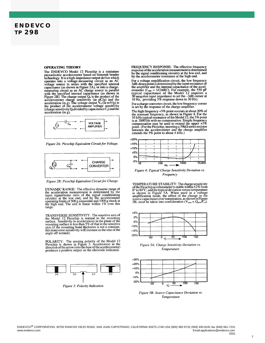## **ENDEVCO TP 298**

#### **OPERATING THEORY**

The ENDEVCO Model 12 Picochip is a miniature<br>piezoelectric accelerometer based on bimorph bender piezoelectric accelerometer based on bimorph bender<br>technology. It is a high-impedance output device which<br>operates into a voltage-measuring circuit as an AC<br>voltage source in series with the specified internal<br>capacitance measuring circuit as an AC charge source in parallel<br>with the specified internal capacitance (as shown in<br>Figure 2B). The charge output  $Q_0$  is the product of the<br>accelerometer charge sensitivity (in pC/g) and the<br>accele  $acceleration$  (in g).



Figure 2A: Picochip Equivalent Circuit for Voltage.



Figure 2B: Picochip Equivalent Circuit for Charge.

DYNAMIC RANGE: The effective dynamic range of<br>the acceleration measurement is determined by the<br>input signal/noise ratio of the signal conditioning<br>circuity at the low end, and by the accelerometer<br>operating limits of 500 range

TRANSVERSE SENSITIVITY: The sensitive axis of<br>the Model 12 Picochip is normal to the mounting<br>surface. Sensitivity to accelerations in the plane of the<br>mounting surface is less than 5% of that in the sensitive<br>axis (if th angle off normal).

POLARITY: The sensing polarity of the Model 12<br>Picochip is shown in Figure 3. Acceleration in the<br>direction of the arrow (into the base of the accelerometer) produces a positive output on the electrode indicated.



Figure 3: Polarity Indication

FREOUENCY RESPONSE: The effective frequency response of the acceleration measurement is determined by the signal conditioning circuitry at the low end, and by the accelerometer resonance at the high end.

For a voltage amplification circuit, the low frequency<br>3dB-down point is determined by the input resistance of the amplifier and the internal capacitance of the accelthe anymical and the internal capacitance of the S50 pF<br>typical capacitance of the Model 12 requires a<br>30 megohm input impedance to set the -3dB corner at<br>10 Hz, providing 5% response down to 30 Hz).

For a charge converter circuit, the low frequency corner<br>is set by the response of the charge amplifier.

The high frequency  $+5\%$  point occcurs at about 20% of The might requency +5% point occcus at about 20% of<br>the resonant frequency, as shown in Figure 4. For the<br>10 kHz typical resonance of the Model 12, the 5% point<br>is at 2000 Hz with no compensation. Simple frequency<br>compens composition may be used to conclude the proof. (For the Picochip, inserting a 39k $\Omega$  series resistor<br>between the accelerometer and the charge amplifier<br>extends the 5% point to about 4 kHz.)



Figure 4: Typical Charge Sensitivity Deviation vs. Frequency

TEMPERATURE STABILITY: The charge sensitivity<br>of the Picochip accelerometer is stable within  $\pm 2\%$  from<br>0° to 80°C, and the typical deviation versus temperature<br>is shown in Figure 5A. When used in a voltage<br>samplificat



Figure 5A: Charge Sensitivity Deviation vs. Temperature



Figure 5B: Source Capacitance Deviation vs. Temperature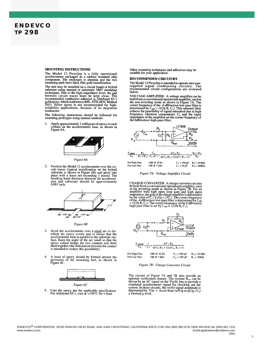## **ENDEVCO TP 298**

#### **MOUNTING INSTRUCTIONS**

The Model 12 Picochip is a fully operational Fig. of a start of the matchmatical and accelerometer packaged as a surface mounted chip component. The enclosure is alumina and the two mounting pads have thick film gold metallization.

The unit may be installed on a circuit board or hybrid From the may be unstanded in a circuit boxed of hydrid<br>substrate using manual or automatic SMT mounting<br>techniques. Due to the high-impedance level, the gap<br>between circuit traces must be kept clean. The<br>recommended conduc S011. Silver epoxy is not recommended for high-<br>reliability applications, because of its migration tendencies

The following instructions should be followed for mounting protoypes using manual methods.

Apply approximately 1 milligram of epoxy to each contact on the accelerometer base, as shown in Figure 6A. 1.



Figure 6A

Position the Model 12 accelerometer over the circuit traces (typical metallization on the hybrid substrate is shown in Figure 6B) and press into place with a force not exceeding 1 pound. The resulting bond thickness betwee  $2^{\circ}$ 



Figure 6B

- $3.$ Scrub the accelerometer over a small arc to dis-Structure accelerointed with a simulation of the structure of the structure that the accelerometer base is parallel to the substrate surface. Keep the angle of the arc small so that the epoxy cannot bridge the two contacts is intended to reduce this possibility).
- A bead of epoxy should be formed around the perimeter of the mounting feet, as shown in Figure 6C.  $4.$



Figure 6C

Other mounting techniques and adhesives may be suitable for your application.

#### **RECOMMENDED CIRCUITRY**

The Model 12 Picochip is intended to operate into user-<br>supplied signal conditioning circuitry. The<br>recommended circuit configurations are reviewed below.

VOLTAGE AMPLIFIER: A voltage amplifier can be VOLTAGE AMPLIFIER: A voltage amplifier can be<br>built from a conventional operational amplifier, used in<br>the non-inverting mode as shown in Figure 7A. The<br>corner frequency of the –6 dB/octave low-pass filter is<br>determined b the 6dB/octave high-pass filter.



Figure 7A: Voltage Amplifier Circuit

CHARGE CONVERTER: A charge converter can also<br>be built from a conventional operational amplifier, used<br>in the inverting mode as shown in Figure 7B. For an<br>amplifier with high open loop gain and high imput<br>impedance, the g



For High Pass -3dB @ 10 Hz  $C_1 = 550$  pF  $R_2 = 30 M\Omega$ For Low Pass -3db @ 7 kHz

 $C_a = 550$  pF  $\overline{R}_1 = 39K\Omega$ 

Figure 7B: Charge Converter Circuit

The circuits of Figure 7A and 7B also provide an optional verification feature. The resistor  $R_{ver}$  can be driven by an AC signal on the Verify line to provide a system. In these circuits, the verify signal amplitude is d x Desired g level.

Cure the epoxy per the applicable specification.<br>For Ablebond 85-1, cure at  $+150^{\circ}$ C for 1 hour. 5.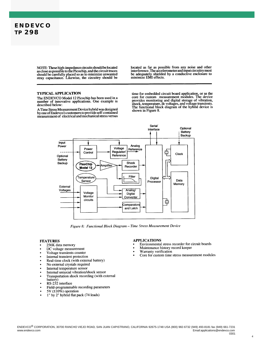

NOTE: These high-impedance circuits should be located<br>as close as possible to the Picochip, and the circuit traces as should be carefully placed so as to minimize unwanted<br>stray capacitance. Likewise, the circuitry should be located as far as possible from any noise and other interference. The accelerometer and input circuitry must be adequately shielded by a conductive enclosure to minimize EMI effects.

#### **TYPICAL APPLICATION**

The ENDEVCO Model 12 Picochip has been used in a number of innovative applications. One example is described below:

A Time Stress Measurement Device hybrid was designed A some of Endevco's customers to provide self-contained<br>measurement of electrical and mechanical stress versus

time for embedded circuit board application, or as the core for custom measurement modules. The device provides monitoring and digital storage of vibration, shock, temperature, dc voltages, and voltage transients. The functional block diagram of the hybrid device is shown in Figure 8.



Figure 8: Functional Block Diagram - Time Stress Measurement Device

#### **FEATURES**

- 256K data memory
- DC voltage measurement
- Voltage transients counter
- Internal transient protection
- Real-time clock (with external battery)
- No external crystals required
- Internal temperature sensor
- Internal uniaxial vibration/shock sensor
- Transportation shock recording (with external
- battery)
- RS-232 interface
- Field-programmable recording parameters
- 5V  $(\pm 10\%)$  operation
- 1" by 2" hybrid flat pack (74 leads)

#### **APPLICATIONS**

- Environmental stress recorder for circuit boards
- Maintenance history record keeper
- Warranty verification
- Core for custom time stress measurement modules